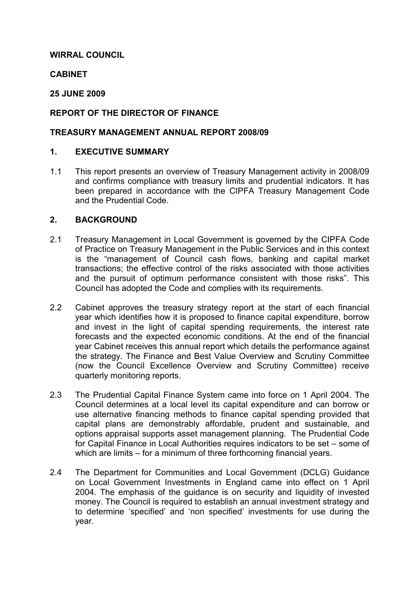# WIRRAL COUNCIL

## **CABINET**

## 25 JUNE 2009

# REPORT OF THE DIRECTOR OF FINANCE

#### TREASURY MANAGEMENT ANNUAL REPORT 2008/09

#### 1. EXECUTIVE SUMMARY

1.1 This report presents an overview of Treasury Management activity in 2008/09 and confirms compliance with treasury limits and prudential indicators. It has been prepared in accordance with the CIPFA Treasury Management Code and the Prudential Code.

#### 2. BACKGROUND

- 2.1 Treasury Management in Local Government is governed by the CIPFA Code of Practice on Treasury Management in the Public Services and in this context is the "management of Council cash flows, banking and capital market transactions; the effective control of the risks associated with those activities and the pursuit of optimum performance consistent with those risks". This Council has adopted the Code and complies with its requirements.
- 2.2 Cabinet approves the treasury strategy report at the start of each financial year which identifies how it is proposed to finance capital expenditure, borrow and invest in the light of capital spending requirements, the interest rate forecasts and the expected economic conditions. At the end of the financial year Cabinet receives this annual report which details the performance against the strategy. The Finance and Best Value Overview and Scrutiny Committee (now the Council Excellence Overview and Scrutiny Committee) receive quarterly monitoring reports.
- 2.3 The Prudential Capital Finance System came into force on 1 April 2004. The Council determines at a local level its capital expenditure and can borrow or use alternative financing methods to finance capital spending provided that capital plans are demonstrably affordable, prudent and sustainable, and options appraisal supports asset management planning. The Prudential Code for Capital Finance in Local Authorities requires indicators to be set – some of which are limits – for a minimum of three forthcoming financial years.
- 2.4 The Department for Communities and Local Government (DCLG) Guidance on Local Government Investments in England came into effect on 1 April 2004. The emphasis of the guidance is on security and liquidity of invested money. The Council is required to establish an annual investment strategy and to determine 'specified' and 'non specified' investments for use during the year.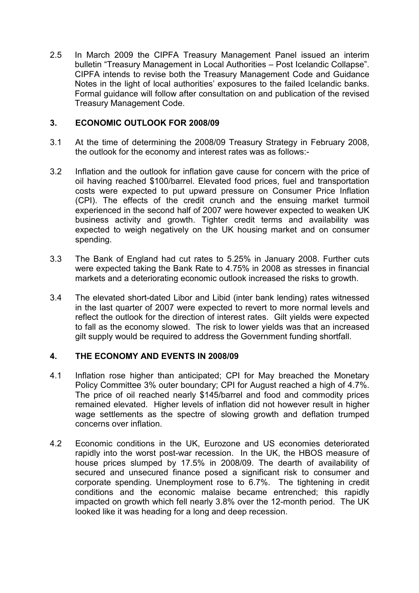2.5 In March 2009 the CIPFA Treasury Management Panel issued an interim bulletin "Treasury Management in Local Authorities – Post Icelandic Collapse". CIPFA intends to revise both the Treasury Management Code and Guidance Notes in the light of local authorities' exposures to the failed Icelandic banks. Formal guidance will follow after consultation on and publication of the revised Treasury Management Code.

# 3. ECONOMIC OUTLOOK FOR 2008/09

- 3.1 At the time of determining the 2008/09 Treasury Strategy in February 2008, the outlook for the economy and interest rates was as follows:-
- 3.2 Inflation and the outlook for inflation gave cause for concern with the price of oil having reached \$100/barrel. Elevated food prices, fuel and transportation costs were expected to put upward pressure on Consumer Price Inflation (CPI). The effects of the credit crunch and the ensuing market turmoil experienced in the second half of 2007 were however expected to weaken UK business activity and growth. Tighter credit terms and availability was expected to weigh negatively on the UK housing market and on consumer spending.
- 3.3 The Bank of England had cut rates to 5.25% in January 2008. Further cuts were expected taking the Bank Rate to 4.75% in 2008 as stresses in financial markets and a deteriorating economic outlook increased the risks to growth.
- 3.4 The elevated short-dated Libor and Libid (inter bank lending) rates witnessed in the last quarter of 2007 were expected to revert to more normal levels and reflect the outlook for the direction of interest rates. Gilt yields were expected to fall as the economy slowed. The risk to lower yields was that an increased gilt supply would be required to address the Government funding shortfall.

# 4. THE ECONOMY AND EVENTS IN 2008/09

- 4.1 Inflation rose higher than anticipated; CPI for May breached the Monetary Policy Committee 3% outer boundary; CPI for August reached a high of 4.7%. The price of oil reached nearly \$145/barrel and food and commodity prices remained elevated. Higher levels of inflation did not however result in higher wage settlements as the spectre of slowing growth and deflation trumped concerns over inflation.
- 4.2 Economic conditions in the UK, Eurozone and US economies deteriorated rapidly into the worst post-war recession. In the UK, the HBOS measure of house prices slumped by 17.5% in 2008/09. The dearth of availability of secured and unsecured finance posed a significant risk to consumer and corporate spending. Unemployment rose to 6.7%. The tightening in credit conditions and the economic malaise became entrenched; this rapidly impacted on growth which fell nearly 3.8% over the 12-month period. The UK looked like it was heading for a long and deep recession.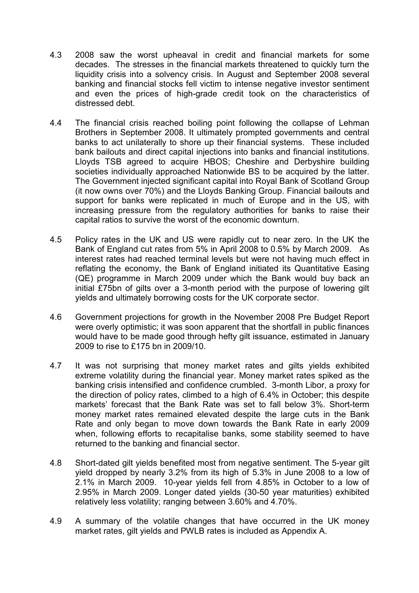- 4.3 2008 saw the worst upheaval in credit and financial markets for some decades. The stresses in the financial markets threatened to quickly turn the liquidity crisis into a solvency crisis. In August and September 2008 several banking and financial stocks fell victim to intense negative investor sentiment and even the prices of high-grade credit took on the characteristics of distressed debt.
- 4.4 The financial crisis reached boiling point following the collapse of Lehman Brothers in September 2008. It ultimately prompted governments and central banks to act unilaterally to shore up their financial systems. These included bank bailouts and direct capital injections into banks and financial institutions. Lloyds TSB agreed to acquire HBOS; Cheshire and Derbyshire building societies individually approached Nationwide BS to be acquired by the latter. The Government injected significant capital into Royal Bank of Scotland Group (it now owns over 70%) and the Lloyds Banking Group. Financial bailouts and support for banks were replicated in much of Europe and in the US, with increasing pressure from the regulatory authorities for banks to raise their capital ratios to survive the worst of the economic downturn.
- 4.5 Policy rates in the UK and US were rapidly cut to near zero. In the UK the Bank of England cut rates from 5% in April 2008 to 0.5% by March 2009. As interest rates had reached terminal levels but were not having much effect in reflating the economy, the Bank of England initiated its Quantitative Easing (QE) programme in March 2009 under which the Bank would buy back an initial £75bn of gilts over a 3-month period with the purpose of lowering gilt yields and ultimately borrowing costs for the UK corporate sector.
- 4.6 Government projections for growth in the November 2008 Pre Budget Report were overly optimistic; it was soon apparent that the shortfall in public finances would have to be made good through hefty gilt issuance, estimated in January 2009 to rise to £175 bn in 2009/10.
- 4.7 It was not surprising that money market rates and gilts yields exhibited extreme volatility during the financial year. Money market rates spiked as the banking crisis intensified and confidence crumbled. 3-month Libor, a proxy for the direction of policy rates, climbed to a high of 6.4% in October; this despite markets' forecast that the Bank Rate was set to fall below 3%. Short-term money market rates remained elevated despite the large cuts in the Bank Rate and only began to move down towards the Bank Rate in early 2009 when, following efforts to recapitalise banks, some stability seemed to have returned to the banking and financial sector.
- 4.8 Short-dated gilt yields benefited most from negative sentiment. The 5-year gilt yield dropped by nearly 3.2% from its high of 5.3% in June 2008 to a low of 2.1% in March 2009. 10-year yields fell from 4.85% in October to a low of 2.95% in March 2009. Longer dated yields (30-50 year maturities) exhibited relatively less volatility; ranging between 3.60% and 4.70%.
- 4.9 A summary of the volatile changes that have occurred in the UK money market rates, gilt yields and PWLB rates is included as Appendix A.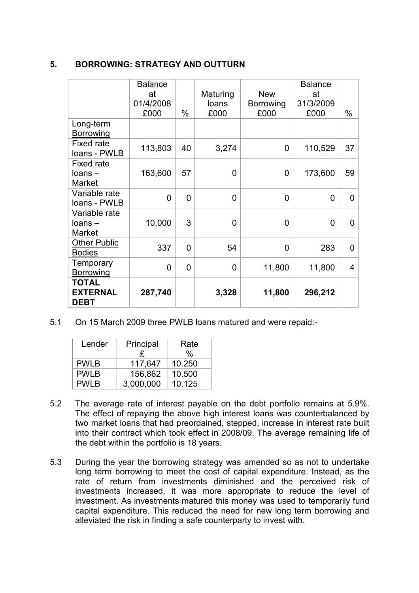# 5. BORROWING: STRATEGY AND OUTTURN

|                                                | <b>Balance</b><br>at<br>01/4/2008<br>£000 | $\%$           | Maturing<br>loans<br>£000 | <b>New</b><br><b>Borrowing</b><br>£000 | <b>Balance</b><br>at<br>31/3/2009<br>£000 | %        |
|------------------------------------------------|-------------------------------------------|----------------|---------------------------|----------------------------------------|-------------------------------------------|----------|
| Long-term<br><b>Borrowing</b>                  |                                           |                |                           |                                        |                                           |          |
| Fixed rate<br>loans - PWLB                     | 113,803                                   | 40             | 3,274                     | 0                                      | 110,529                                   | 37       |
| Fixed rate<br>$loans -$<br><b>Market</b>       | 163,600                                   | 57             | $\overline{0}$            | 0                                      | 173,600                                   | 59       |
| Variable rate<br>loans - PWLB                  | 0                                         | $\Omega$       | $\Omega$                  | 0                                      | 0                                         | $\Omega$ |
| Variable rate<br>$loans -$<br><b>Market</b>    | 10,000                                    | 3              | $\overline{0}$            | 0                                      | 0                                         | O        |
| <b>Other Public</b><br><b>Bodies</b>           | 337                                       | 0              | 54                        | 0                                      | 283                                       | 0        |
| <b>Temporary</b><br><b>Borrowing</b>           | 0                                         | $\overline{0}$ | $\overline{0}$            | 11,800                                 | 11,800                                    | 4        |
| <b>TOTAL</b><br><b>EXTERNAL</b><br><b>DEBT</b> | 287,740                                   |                | 3,328                     | 11,800                                 | 296,212                                   |          |

5.1 On 15 March 2009 three PWLB loans matured and were repaid:-

| Lender      | Principal | Rate   |  |
|-------------|-----------|--------|--|
|             | £         | %      |  |
| <b>PWLB</b> | 117,647   | 10.250 |  |
| <b>PWLB</b> | 156,862   | 10.500 |  |
| <b>PWLB</b> | 3,000,000 | 10.125 |  |

- 5.2 The average rate of interest payable on the debt portfolio remains at 5.9%. The effect of repaying the above high interest loans was counterbalanced by two market loans that had preordained, stepped, increase in interest rate built into their contract which took effect in 2008/09. The average remaining life of the debt within the portfolio is 18 years.
- 5.3 During the year the borrowing strategy was amended so as not to undertake long term borrowing to meet the cost of capital expenditure. Instead, as the rate of return from investments diminished and the perceived risk of investments increased, it was more appropriate to reduce the level of investment. As investments matured this money was used to temporarily fund capital expenditure. This reduced the need for new long term borrowing and alleviated the risk in finding a safe counterparty to invest with.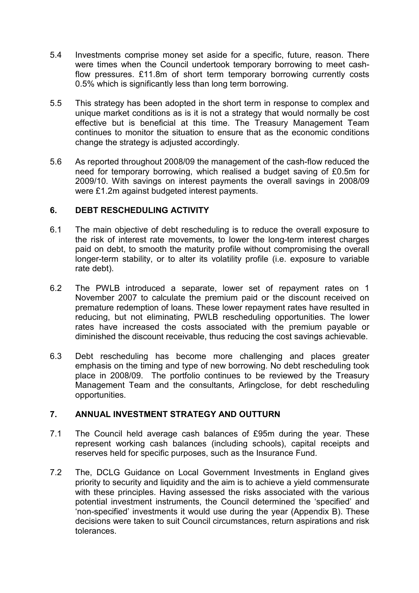- 5.4 Investments comprise money set aside for a specific, future, reason. There were times when the Council undertook temporary borrowing to meet cashflow pressures. £11.8m of short term temporary borrowing currently costs 0.5% which is significantly less than long term borrowing.
- 5.5 This strategy has been adopted in the short term in response to complex and unique market conditions as is it is not a strategy that would normally be cost effective but is beneficial at this time. The Treasury Management Team continues to monitor the situation to ensure that as the economic conditions change the strategy is adjusted accordingly.
- 5.6 As reported throughout 2008/09 the management of the cash-flow reduced the need for temporary borrowing, which realised a budget saving of £0.5m for 2009/10. With savings on interest payments the overall savings in 2008/09 were £1.2m against budgeted interest payments.

## 6. DEBT RESCHEDULING ACTIVITY

- 6.1 The main objective of debt rescheduling is to reduce the overall exposure to the risk of interest rate movements, to lower the long-term interest charges paid on debt, to smooth the maturity profile without compromising the overall longer-term stability, or to alter its volatility profile (i.e. exposure to variable rate debt).
- 6.2 The PWLB introduced a separate, lower set of repayment rates on 1 November 2007 to calculate the premium paid or the discount received on premature redemption of loans. These lower repayment rates have resulted in reducing, but not eliminating, PWLB rescheduling opportunities. The lower rates have increased the costs associated with the premium payable or diminished the discount receivable, thus reducing the cost savings achievable.
- 6.3 Debt rescheduling has become more challenging and places greater emphasis on the timing and type of new borrowing. No debt rescheduling took place in 2008/09. The portfolio continues to be reviewed by the Treasury Management Team and the consultants, Arlingclose, for debt rescheduling opportunities.

# 7. ANNUAL INVESTMENT STRATEGY AND OUTTURN

- 7.1 The Council held average cash balances of £95m during the year. These represent working cash balances (including schools), capital receipts and reserves held for specific purposes, such as the Insurance Fund.
- 7.2 The, DCLG Guidance on Local Government Investments in England gives priority to security and liquidity and the aim is to achieve a yield commensurate with these principles. Having assessed the risks associated with the various potential investment instruments, the Council determined the 'specified' and 'non-specified' investments it would use during the year (Appendix B). These decisions were taken to suit Council circumstances, return aspirations and risk tolerances.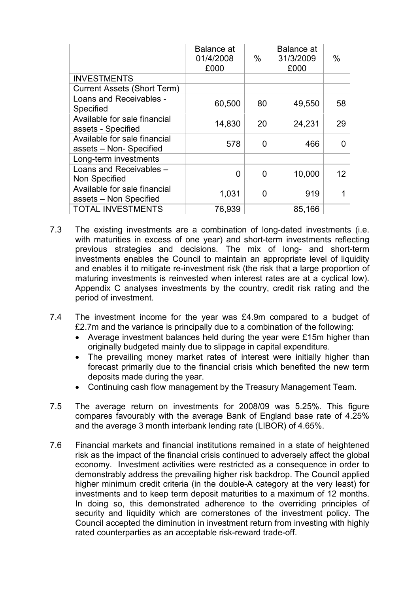|                                                        | <b>Balance</b> at<br>01/4/2008<br>£000 | $\%$ | <b>Balance</b> at<br>31/3/2009<br>£000 | $\%$ |
|--------------------------------------------------------|----------------------------------------|------|----------------------------------------|------|
| <b>INVESTMENTS</b>                                     |                                        |      |                                        |      |
| <b>Current Assets (Short Term)</b>                     |                                        |      |                                        |      |
| Loans and Receivables -<br>Specified                   | 60,500                                 | 80   | 49,550                                 | 58   |
| Available for sale financial<br>assets - Specified     | 14,830                                 | 20   | 24,231                                 | 29   |
| Available for sale financial<br>assets - Non-Specified | 578                                    | 0    | 466                                    |      |
| Long-term investments                                  |                                        |      |                                        |      |
| Loans and Receivables -<br>Non Specified               | 0                                      | 0    | 10,000                                 | 12   |
| Available for sale financial<br>assets - Non Specified | 1,031                                  | 0    | 919                                    |      |
| <b>TOTAL INVESTMENTS</b>                               | 76,939                                 |      | 85,166                                 |      |

- 7.3 The existing investments are a combination of long-dated investments (i.e. with maturities in excess of one year) and short-term investments reflecting previous strategies and decisions. The mix of long- and short-term investments enables the Council to maintain an appropriate level of liquidity and enables it to mitigate re-investment risk (the risk that a large proportion of maturing investments is reinvested when interest rates are at a cyclical low). Appendix C analyses investments by the country, credit risk rating and the period of investment.
- 7.4 The investment income for the year was £4.9m compared to a budget of £2.7m and the variance is principally due to a combination of the following:
	- Average investment balances held during the year were £15m higher than originally budgeted mainly due to slippage in capital expenditure.
	- The prevailing money market rates of interest were initially higher than forecast primarily due to the financial crisis which benefited the new term deposits made during the year.
	- Continuing cash flow management by the Treasury Management Team.
- 7.5 The average return on investments for 2008/09 was 5.25%. This figure compares favourably with the average Bank of England base rate of 4.25% and the average 3 month interbank lending rate (LIBOR) of 4.65%.
- 7.6 Financial markets and financial institutions remained in a state of heightened risk as the impact of the financial crisis continued to adversely affect the global economy. Investment activities were restricted as a consequence in order to demonstrably address the prevailing higher risk backdrop. The Council applied higher minimum credit criteria (in the double-A category at the very least) for investments and to keep term deposit maturities to a maximum of 12 months. In doing so, this demonstrated adherence to the overriding principles of security and liquidity which are cornerstones of the investment policy. The Council accepted the diminution in investment return from investing with highly rated counterparties as an acceptable risk-reward trade-off.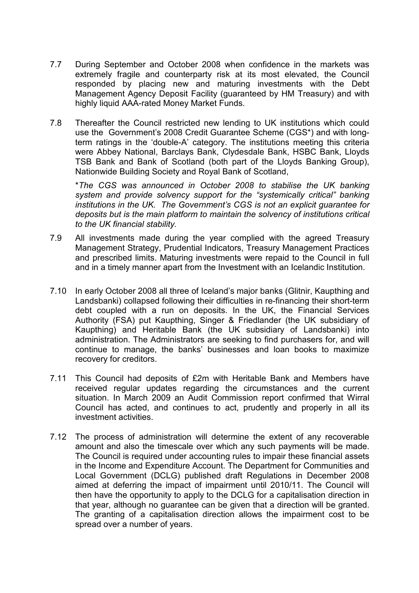- 7.7 During September and October 2008 when confidence in the markets was extremely fragile and counterparty risk at its most elevated, the Council responded by placing new and maturing investments with the Debt Management Agency Deposit Facility (guaranteed by HM Treasury) and with highly liquid AAA-rated Money Market Funds.
- 7.8 Thereafter the Council restricted new lending to UK institutions which could use the Government's 2008 Credit Guarantee Scheme (CGS\*) and with longterm ratings in the 'double-A' category. The institutions meeting this criteria were Abbey National, Barclays Bank, Clydesdale Bank, HSBC Bank, Lloyds TSB Bank and Bank of Scotland (both part of the Lloyds Banking Group), Nationwide Building Society and Royal Bank of Scotland,

\*The CGS was announced in October 2008 to stabilise the UK banking system and provide solvency support for the "systemically critical" banking institutions in the UK. The Government's CGS is not an explicit guarantee for deposits but is the main platform to maintain the solvency of institutions critical to the UK financial stability.

- 7.9 All investments made during the year complied with the agreed Treasury Management Strategy, Prudential Indicators, Treasury Management Practices and prescribed limits. Maturing investments were repaid to the Council in full and in a timely manner apart from the Investment with an Icelandic Institution.
- 7.10 In early October 2008 all three of Iceland's major banks (Glitnir, Kaupthing and Landsbanki) collapsed following their difficulties in re-financing their short-term debt coupled with a run on deposits. In the UK, the Financial Services Authority (FSA) put Kaupthing, Singer & Friedlander (the UK subsidiary of Kaupthing) and Heritable Bank (the UK subsidiary of Landsbanki) into administration. The Administrators are seeking to find purchasers for, and will continue to manage, the banks' businesses and loan books to maximize recovery for creditors.
- 7.11 This Council had deposits of £2m with Heritable Bank and Members have received regular updates regarding the circumstances and the current situation. In March 2009 an Audit Commission report confirmed that Wirral Council has acted, and continues to act, prudently and properly in all its investment activities.
- 7.12 The process of administration will determine the extent of any recoverable amount and also the timescale over which any such payments will be made. The Council is required under accounting rules to impair these financial assets in the Income and Expenditure Account. The Department for Communities and Local Government (DCLG) published draft Regulations in December 2008 aimed at deferring the impact of impairment until 2010/11. The Council will then have the opportunity to apply to the DCLG for a capitalisation direction in that year, although no guarantee can be given that a direction will be granted. The granting of a capitalisation direction allows the impairment cost to be spread over a number of years.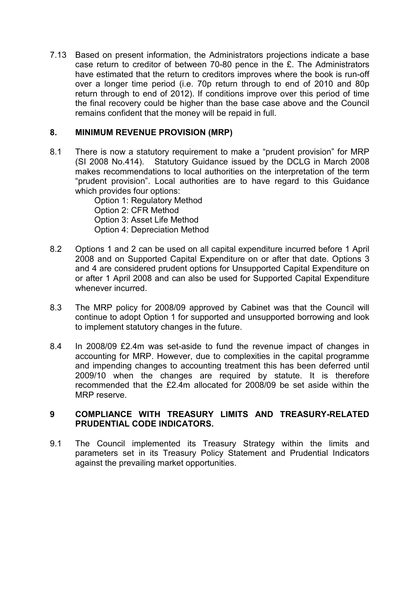7.13 Based on present information, the Administrators projections indicate a base case return to creditor of between 70-80 pence in the £. The Administrators have estimated that the return to creditors improves where the book is run-off over a longer time period (i.e. 70p return through to end of 2010 and 80p return through to end of 2012). If conditions improve over this period of time the final recovery could be higher than the base case above and the Council remains confident that the money will be repaid in full.

# 8. MINIMUM REVENUE PROVISION (MRP)

8.1 There is now a statutory requirement to make a "prudent provision" for MRP (SI 2008 No.414). Statutory Guidance issued by the DCLG in March 2008 makes recommendations to local authorities on the interpretation of the term "prudent provision". Local authorities are to have regard to this Guidance which provides four options:

 Option 1: Regulatory Method Option 2: CFR Method Option 3: Asset Life Method Option 4: Depreciation Method

- 8.2 Options 1 and 2 can be used on all capital expenditure incurred before 1 April 2008 and on Supported Capital Expenditure on or after that date. Options 3 and 4 are considered prudent options for Unsupported Capital Expenditure on or after 1 April 2008 and can also be used for Supported Capital Expenditure whenever incurred.
- 8.3 The MRP policy for 2008/09 approved by Cabinet was that the Council will continue to adopt Option 1 for supported and unsupported borrowing and look to implement statutory changes in the future.
- 8.4 In 2008/09 £2.4m was set-aside to fund the revenue impact of changes in accounting for MRP. However, due to complexities in the capital programme and impending changes to accounting treatment this has been deferred until 2009/10 when the changes are required by statute. It is therefore recommended that the £2.4m allocated for 2008/09 be set aside within the MRP reserve.

# 9 COMPLIANCE WITH TREASURY LIMITS AND TREASURY-RELATED PRUDENTIAL CODE INDICATORS.

9.1 The Council implemented its Treasury Strategy within the limits and parameters set in its Treasury Policy Statement and Prudential Indicators against the prevailing market opportunities.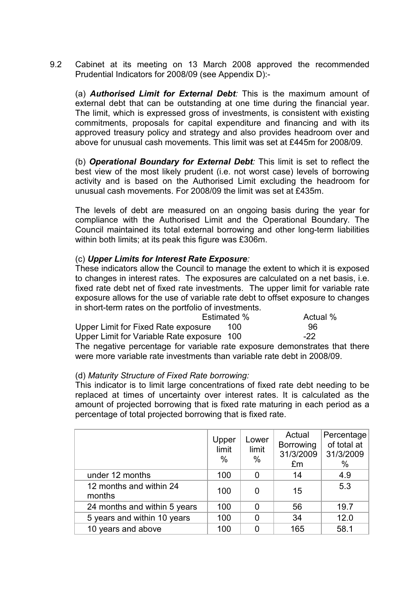9.2 Cabinet at its meeting on 13 March 2008 approved the recommended Prudential Indicators for 2008/09 (see Appendix D):-

(a) **Authorised Limit for External Debt**: This is the maximum amount of external debt that can be outstanding at one time during the financial year. The limit, which is expressed gross of investments, is consistent with existing commitments, proposals for capital expenditure and financing and with its approved treasury policy and strategy and also provides headroom over and above for unusual cash movements. This limit was set at £445m for 2008/09.

(b) Operational Boundary for External Debt: This limit is set to reflect the best view of the most likely prudent (i.e. not worst case) levels of borrowing activity and is based on the Authorised Limit excluding the headroom for unusual cash movements. For 2008/09 the limit was set at £435m.

 The levels of debt are measured on an ongoing basis during the year for compliance with the Authorised Limit and the Operational Boundary. The Council maintained its total external borrowing and other long-term liabilities within both limits; at its peak this figure was £306m.

#### (c) Upper Limits for Interest Rate Exposure:

 These indicators allow the Council to manage the extent to which it is exposed to changes in interest rates. The exposures are calculated on a net basis, i.e. fixed rate debt net of fixed rate investments. The upper limit for variable rate exposure allows for the use of variable rate debt to offset exposure to changes in short-term rates on the portfolio of investments.

|                                                                            | Estimated % | Actual % |
|----------------------------------------------------------------------------|-------------|----------|
| Upper Limit for Fixed Rate exposure                                        | 100         | 96       |
| Upper Limit for Variable Rate exposure 100                                 |             | $-22$    |
| The negative percentage for variable rate exposure demonstrates that there |             |          |
| were more variable rate investments than variable rate debt in 2008/09.    |             |          |

#### (d) Maturity Structure of Fixed Rate borrowing:

This indicator is to limit large concentrations of fixed rate debt needing to be replaced at times of uncertainty over interest rates. It is calculated as the amount of projected borrowing that is fixed rate maturing in each period as a percentage of total projected borrowing that is fixed rate.

|                                   | Upper<br>limit<br>$\%$ | Lower<br>limit<br>$\%$ | Actual<br>Borrowing<br>31/3/2009<br>£m | Percentage<br>of total at<br>31/3/2009<br>$\%$ |
|-----------------------------------|------------------------|------------------------|----------------------------------------|------------------------------------------------|
| under 12 months                   | 100                    | 0                      | 14                                     | 4.9                                            |
| 12 months and within 24<br>months | 100                    | 0                      | 15                                     | 5.3                                            |
| 24 months and within 5 years      | 100                    | 0                      | 56                                     | 19.7                                           |
| 5 years and within 10 years       | 100                    | 0                      | 34                                     | 12.0                                           |
| 10 years and above                | 100                    | O                      | 165                                    | 58.1                                           |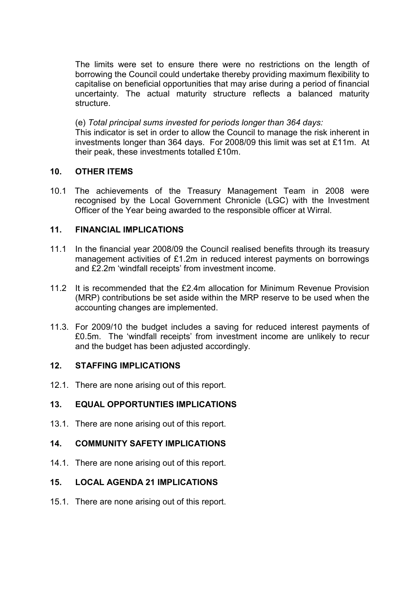The limits were set to ensure there were no restrictions on the length of borrowing the Council could undertake thereby providing maximum flexibility to capitalise on beneficial opportunities that may arise during a period of financial uncertainty. The actual maturity structure reflects a balanced maturity structure.

 (e) Total principal sums invested for periods longer than 364 days: This indicator is set in order to allow the Council to manage the risk inherent in investments longer than 364 days. For 2008/09 this limit was set at £11m. At their peak, these investments totalled £10m.

## 10. OTHER ITEMS

10.1 The achievements of the Treasury Management Team in 2008 were recognised by the Local Government Chronicle (LGC) with the Investment Officer of the Year being awarded to the responsible officer at Wirral.

# 11. FINANCIAL IMPLICATIONS

- 11.1 In the financial year 2008/09 the Council realised benefits through its treasury management activities of £1.2m in reduced interest payments on borrowings and £2.2m 'windfall receipts' from investment income.
- 11.2 It is recommended that the £2.4m allocation for Minimum Revenue Provision (MRP) contributions be set aside within the MRP reserve to be used when the accounting changes are implemented.
- 11.3. For 2009/10 the budget includes a saving for reduced interest payments of £0.5m. The 'windfall receipts' from investment income are unlikely to recur and the budget has been adjusted accordingly.

#### 12. STAFFING IMPLICATIONS

12.1. There are none arising out of this report.

# 13. EQUAL OPPORTUNTIES IMPLICATIONS

13.1. There are none arising out of this report.

#### 14. COMMUNITY SAFETY IMPLICATIONS

14.1. There are none arising out of this report.

# 15. LOCAL AGENDA 21 IMPLICATIONS

15.1. There are none arising out of this report.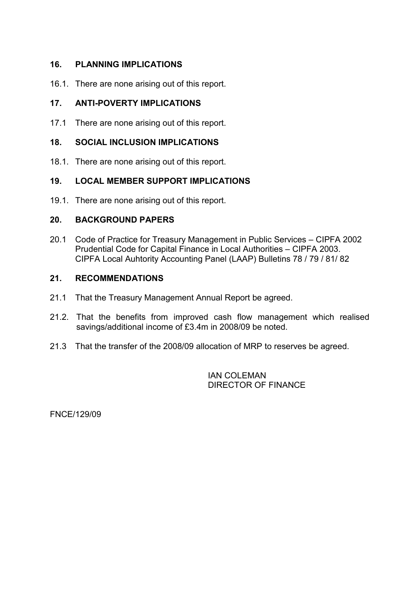## 16. PLANNING IMPLICATIONS

16.1. There are none arising out of this report.

## 17. ANTI-POVERTY IMPLICATIONS

17.1 There are none arising out of this report.

## 18. SOCIAL INCLUSION IMPLICATIONS

18.1. There are none arising out of this report.

# 19. LOCAL MEMBER SUPPORT IMPLICATIONS

19.1. There are none arising out of this report.

## 20. BACKGROUND PAPERS

20.1 Code of Practice for Treasury Management in Public Services – CIPFA 2002 Prudential Code for Capital Finance in Local Authorities – CIPFA 2003. CIPFA Local Auhtority Accounting Panel (LAAP) Bulletins 78 / 79 / 81/ 82

## 21. RECOMMENDATIONS

- 21.1 That the Treasury Management Annual Report be agreed.
- 21.2. That the benefits from improved cash flow management which realised savings/additional income of £3.4m in 2008/09 be noted.
- 21.3 That the transfer of the 2008/09 allocation of MRP to reserves be agreed.

IAN COLEMAN DIRECTOR OF FINANCE

FNCE/129/09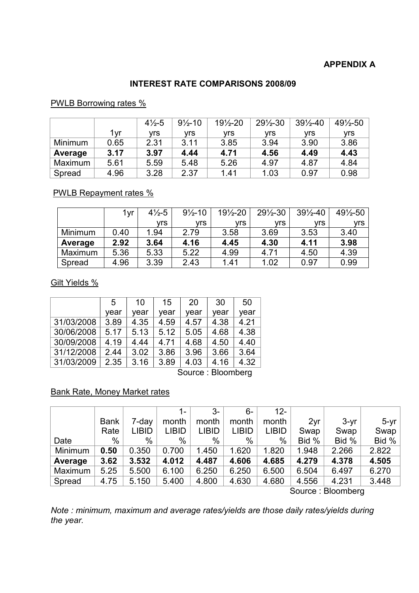# APPENDIX A

# INTEREST RATE COMPARISONS 2008/09

## PWLB Borrowing rates %

|                |      | $4\frac{1}{2}$ -5 | $9\frac{1}{2} - 10$ | $19\frac{1}{2} - 20$ | $29\frac{1}{2} - 30$ | $39\frac{1}{2} - 40$ | 491/2-50 |
|----------------|------|-------------------|---------------------|----------------------|----------------------|----------------------|----------|
|                | 1vr  | vrs               | vrs                 | vrs                  | vrs                  | vrs                  | vrs      |
| <b>Minimum</b> | 0.65 | 2.31              | 3.11                | 3.85                 | 3.94                 | 3.90                 | 3.86     |
| Average        | 3.17 | 3.97              | 4.44                | 4.71                 | 4.56                 | 4.49                 | 4.43     |
| Maximum        | 5.61 | 5.59              | 5.48                | 5.26                 | 4.97                 | 4.87                 | 4.84     |
| Spread         | 4.96 | 3.28              | 2.37                | 1.41                 | 1.03                 | 0.97                 | 0.98     |

# PWLB Repayment rates %

|         | i Vľ | $4\frac{1}{2} - 5$ | $9\frac{1}{2} - 10$ | $19\frac{1}{2} - 20$ | $29\frac{1}{2} - 30$ | $39\frac{1}{2} - 40$ | 491/2-50 |
|---------|------|--------------------|---------------------|----------------------|----------------------|----------------------|----------|
|         |      | vrs                | vrs                 | <b>vrs</b>           | vrs                  | vrs                  | vrs      |
| Minimum | 0.40 | 1.94               | 2.79                | 3.58                 | 3.69                 | 3.53                 | 3.40     |
| Average | 2.92 | 3.64               | 4.16                | 4.45                 | 4.30                 | 4.11                 | 3.98     |
| Maximum | 5.36 | 5.33               | 5.22                | 4.99                 | 4.71                 | 4.50                 | 4.39     |
| Spread  | 4.96 | 3.39               | 2.43                | 1.41                 | 1.02                 | 0.97                 | 0.99     |

Gilt Yields %

|                   | 5    | 10   | 15   | 20   | 30   | 50   |  |  |
|-------------------|------|------|------|------|------|------|--|--|
|                   | year | year | year | year | year | year |  |  |
| 31/03/2008        | 3.89 | 4.35 | 4.59 | 4.57 | 4.38 | 4.21 |  |  |
| 30/06/2008        | 5.17 | 5.13 | 5.12 | 5.05 | 4.68 | 4.38 |  |  |
| 30/09/2008        | 4.19 | 4.44 | 4.71 | 4.68 | 4.50 | 4.40 |  |  |
| 31/12/2008        | 2.44 | 3.02 | 3.86 | 3.96 | 3.66 | 3.64 |  |  |
| 31/03/2009        | 2.35 | 3.16 | 3.89 | 4.03 | 4.16 | 4.32 |  |  |
| Source: Bloomberg |      |      |      |      |      |      |  |  |

#### Bank Rate, Money Market rates

|         |             |       | $1 -$        | $3-$         | 6-           | $12 -$       |       |                           |        |
|---------|-------------|-------|--------------|--------------|--------------|--------------|-------|---------------------------|--------|
|         | <b>Bank</b> | 7-day | month        | month        | month        | month        | 2yr   | $3-yr$                    | $5-yr$ |
|         | Rate        | LIBID | <b>LIBID</b> | <b>LIBID</b> | <b>LIBID</b> | <b>LIBID</b> | Swap  | Swap                      | Swap   |
| Date    | %           | $\%$  | %            | %            | %            | %            | Bid % | Bid %                     | Bid %  |
| Minimum | 0.50        | 0.350 | 0.700        | 1.450        | 1.620        | 1.820        | 1.948 | 2.266                     | 2.822  |
| Average | 3.62        | 3.532 | 4.012        | 4.487        | 4.606        | 4.685        | 4.279 | 4.378                     | 4.505  |
| Maximum | 5.25        | 5.500 | 6.100        | 6.250        | 6.250        | 6.500        | 6.504 | 6.497                     | 6.270  |
| Spread  | 4.75        | 5.150 | 5.400        | 4.800        | 4.630        | 4.680        | 4.556 | 4.231                     | 3.448  |
|         |             |       |              |              |              |              |       | Ostanica in District Land |        |

Source : Bloomberg

Note : minimum, maximum and average rates/yields are those daily rates/yields during the year.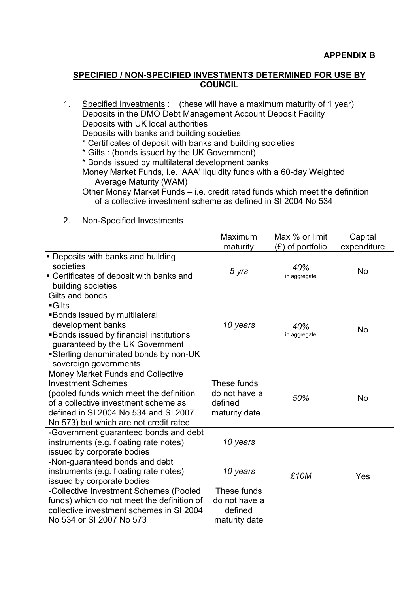#### SPECIFIED / NON-SPECIFIED INVESTMENTS DETERMINED FOR USE BY COUNCIL

1. Specified Investments : (these will have a maximum maturity of 1 year) Deposits in the DMO Debt Management Account Deposit Facility Deposits with UK local authorities Deposits with banks and building societies

\* Certificates of deposit with banks and building societies

\* Gilts : (bonds issued by the UK Government)

\* Bonds issued by multilateral development banks

Money Market Funds, i.e. 'AAA' liquidity funds with a 60-day Weighted Average Maturity (WAM)

Other Money Market Funds – i.e. credit rated funds which meet the definition of a collective investment scheme as defined in SI 2004 No 534

#### Maximum maturity Max % or limit (£) of portfolio **Capital** expenditure **• Deposits with banks and building** societies ■ Certificates of deposit with banks and building societies 5 yrs 40%  $40\%$  No in aggregate  $\blacksquare$ Gilts and bonds § Gilts § Bonds issued by multilateral development banks ■ Bonds issued by financial institutions guaranteed by the UK Government § Sterling denominated bonds by non-UK sovereign governments 10 years  $\vert$  40%  $40\%$  No in aggregate Money Market Funds and Collective Investment Schemes (pooled funds which meet the definition of a collective investment scheme as defined in SI 2004 No 534 and SI 2007 No 573) but which are not credit rated These funds do not have a defined maturity date 50% No -Government guaranteed bonds and debt instruments (e.g. floating rate notes) issued by corporate bodies -Non-guaranteed bonds and debt instruments (e.g. floating rate notes) issued by corporate bodies -Collective Investment Schemes (Pooled funds) which do not meet the definition of collective investment schemes in SI 2004 No 534 or SI 2007 No 573 10 years 10 years These funds do not have a defined maturity date £10M Yes

#### 2. Non-Specified Investments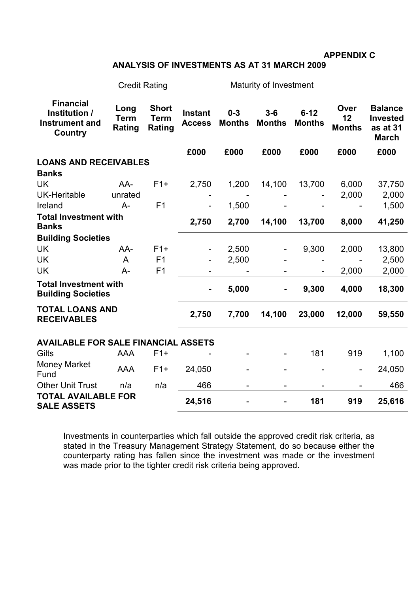APPENDIX C

# ANALYSIS OF INVESTMENTS AS AT 31 MARCH 2009

|                                                                       | <b>Credit Rating</b>          |                                       | Maturity of Investment          |                          |                        |                           |                             |                                                               |
|-----------------------------------------------------------------------|-------------------------------|---------------------------------------|---------------------------------|--------------------------|------------------------|---------------------------|-----------------------------|---------------------------------------------------------------|
| <b>Financial</b><br>Institution /<br><b>Instrument and</b><br>Country | Long<br><b>Term</b><br>Rating | <b>Short</b><br><b>Term</b><br>Rating | <b>Instant</b><br><b>Access</b> | $0 - 3$<br><b>Months</b> | $3-6$<br><b>Months</b> | $6 - 12$<br><b>Months</b> | Over<br>12<br><b>Months</b> | <b>Balance</b><br><b>Invested</b><br>as at 31<br><b>March</b> |
|                                                                       |                               |                                       | £000                            | £000                     | £000                   | £000                      | £000                        | £000                                                          |
| <b>LOANS AND RECEIVABLES</b>                                          |                               |                                       |                                 |                          |                        |                           |                             |                                                               |
| <b>Banks</b>                                                          |                               |                                       |                                 |                          |                        |                           |                             |                                                               |
| <b>UK</b>                                                             | AA-                           | $F1+$                                 | 2,750                           | 1,200                    | 14,100                 | 13,700                    | 6,000                       | 37,750                                                        |
| <b>UK-Heritable</b>                                                   | unrated                       |                                       |                                 |                          |                        |                           | 2,000                       | 2,000                                                         |
| Ireland                                                               | $A -$                         | F <sub>1</sub>                        |                                 | 1,500                    |                        |                           |                             | 1,500                                                         |
| <b>Total Investment with</b><br><b>Banks</b>                          |                               |                                       | 2,750                           | 2,700                    | 14,100                 | 13,700                    | 8,000                       | 41,250                                                        |
| <b>Building Societies</b>                                             |                               |                                       |                                 |                          |                        |                           |                             |                                                               |
| <b>UK</b>                                                             | AA-                           | $F1+$                                 |                                 | 2,500                    |                        | 9,300                     | 2,000                       | 13,800                                                        |
| <b>UK</b>                                                             | A                             | F <sub>1</sub>                        |                                 | 2,500                    |                        |                           |                             | 2,500                                                         |
| <b>UK</b>                                                             | $A -$                         | F <sub>1</sub>                        |                                 |                          |                        |                           | 2,000                       | 2,000                                                         |
| <b>Total Investment with</b><br><b>Building Societies</b>             |                               |                                       |                                 | 5,000                    | $\blacksquare$         | 9,300                     | 4,000                       | 18,300                                                        |
| <b>TOTAL LOANS AND</b><br><b>RECEIVABLES</b>                          |                               |                                       | 2,750                           | 7,700                    | 14,100                 | 23,000                    | 12,000                      | 59,550                                                        |
| <b>AVAILABLE FOR SALE FINANCIAL ASSETS</b>                            |                               |                                       |                                 |                          |                        |                           |                             |                                                               |
| Gilts                                                                 | AAA                           | $F1+$                                 |                                 |                          |                        | 181                       | 919                         | 1,100                                                         |
| <b>Money Market</b><br>Fund                                           | <b>AAA</b>                    | $F1+$                                 | 24,050                          |                          |                        |                           | $\overline{a}$              | 24,050                                                        |
| <b>Other Unit Trust</b>                                               | n/a                           | n/a                                   | 466                             |                          |                        |                           |                             | 466                                                           |
| <b>TOTAL AVAILABLE FOR</b><br><b>SALE ASSETS</b>                      |                               |                                       | 24,516                          |                          | ۰                      | 181                       | 919                         | 25,616                                                        |

Investments in counterparties which fall outside the approved credit risk criteria, as stated in the Treasury Management Strategy Statement, do so because either the counterparty rating has fallen since the investment was made or the investment was made prior to the tighter credit risk criteria being approved.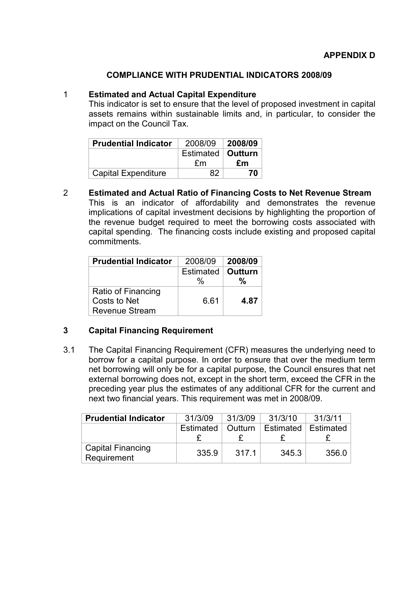#### COMPLIANCE WITH PRUDENTIAL INDICATORS 2008/09

## 1 Estimated and Actual Capital Expenditure

This indicator is set to ensure that the level of proposed investment in capital assets remains within sustainable limits and, in particular, to consider the impact on the Council Tax.

| <b>Prudential Indicator</b> | 2008/09             | 2008/09 |
|-----------------------------|---------------------|---------|
|                             | Estimated   Outturn |         |
|                             | £m                  | £m      |
| <b>Capital Expenditure</b>  | 82                  | 70      |

2 Estimated and Actual Ratio of Financing Costs to Net Revenue Stream This is an indicator of affordability and demonstrates the revenue implications of capital investment decisions by highlighting the proportion of the revenue budget required to meet the borrowing costs associated with capital spending. The financing costs include existing and proposed capital commitments.

| <b>Prudential Indicator</b> | 2008/09          | 2008/09 |
|-----------------------------|------------------|---------|
|                             | <b>Estimated</b> | Outturn |
|                             | $\%$             | $\%$    |
| Ratio of Financing          |                  |         |
| Costs to Net                | 6.61             | 4.87    |
| <b>Revenue Stream</b>       |                  |         |

# 3 Capital Financing Requirement

3.1 The Capital Financing Requirement (CFR) measures the underlying need to borrow for a capital purpose. In order to ensure that over the medium term net borrowing will only be for a capital purpose, the Council ensures that net external borrowing does not, except in the short term, exceed the CFR in the preceding year plus the estimates of any additional CFR for the current and next two financial years. This requirement was met in 2008/09.

| <b>Prudential Indicator</b>             | 31/3/09   | 31/3/09 | 31/3/10   | 31/3/11   |
|-----------------------------------------|-----------|---------|-----------|-----------|
|                                         | Estimated | Outturn | Estimated | Estimated |
| <b>Capital Financing</b><br>Requirement | 335.9     | 317.1   | 345.3     | 356.0     |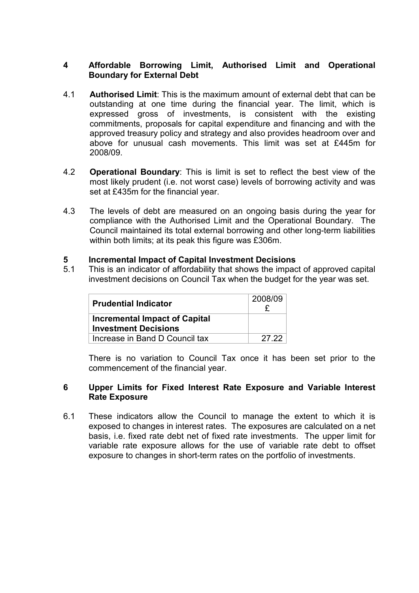## 4 Affordable Borrowing Limit, Authorised Limit and Operational Boundary for External Debt

- 4.1 Authorised Limit: This is the maximum amount of external debt that can be outstanding at one time during the financial year. The limit, which is expressed gross of investments, is consistent with the existing commitments, proposals for capital expenditure and financing and with the approved treasury policy and strategy and also provides headroom over and above for unusual cash movements. This limit was set at £445m for 2008/09.
- 4.2 Operational Boundary: This is limit is set to reflect the best view of the most likely prudent (i.e. not worst case) levels of borrowing activity and was set at £435m for the financial year.
- 4.3 The levels of debt are measured on an ongoing basis during the year for compliance with the Authorised Limit and the Operational Boundary. The Council maintained its total external borrowing and other long-term liabilities within both limits; at its peak this figure was £306m.

#### 5 Incremental Impact of Capital Investment Decisions

5.1 This is an indicator of affordability that shows the impact of approved capital investment decisions on Council Tax when the budget for the year was set.

| <b>Prudential Indicator</b>                                         | 2008/09 |  |
|---------------------------------------------------------------------|---------|--|
| <b>Incremental Impact of Capital</b><br><b>Investment Decisions</b> |         |  |
| Increase in Band D Council tax                                      | 27.22   |  |

 There is no variation to Council Tax once it has been set prior to the commencement of the financial year.

#### 6 Upper Limits for Fixed Interest Rate Exposure and Variable Interest Rate Exposure

6.1 These indicators allow the Council to manage the extent to which it is exposed to changes in interest rates. The exposures are calculated on a net basis, i.e. fixed rate debt net of fixed rate investments. The upper limit for variable rate exposure allows for the use of variable rate debt to offset exposure to changes in short-term rates on the portfolio of investments.